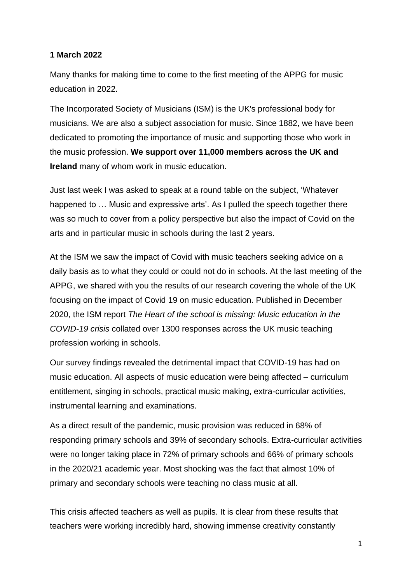## **1 March 2022**

Many thanks for making time to come to the first meeting of the APPG for music education in 2022.

The Incorporated Society of Musicians (ISM) is the UK's professional body for musicians. We are also a subject association for music. Since 1882, we have been dedicated to promoting the importance of music and supporting those who work in the music profession. **We support over 11,000 members across the UK and Ireland** many of whom work in music education.

Just last week I was asked to speak at a round table on the subject, 'Whatever happened to … Music and expressive arts'. As I pulled the speech together there was so much to cover from a policy perspective but also the impact of Covid on the arts and in particular music in schools during the last 2 years.

At the ISM we saw the impact of Covid with music teachers seeking advice on a daily basis as to what they could or could not do in schools. At the last meeting of the APPG, we shared with you the results of our research covering the whole of the UK focusing on the impact of Covid 19 on music education. Published in December 2020, the ISM report *The Heart of the school is missing: Music education in the COVID-19 crisis* collated over 1300 responses across the UK music teaching profession working in schools.

Our survey findings revealed the detrimental impact that COVID-19 has had on music education. All aspects of music education were being affected – curriculum entitlement, singing in schools, practical music making, extra-curricular activities, instrumental learning and examinations.

As a direct result of the pandemic, music provision was reduced in 68% of responding primary schools and 39% of secondary schools. Extra-curricular activities were no longer taking place in 72% of primary schools and 66% of primary schools in the 2020/21 academic year. Most shocking was the fact that almost 10% of primary and secondary schools were teaching no class music at all.

This crisis affected teachers as well as pupils. It is clear from these results that teachers were working incredibly hard, showing immense creativity constantly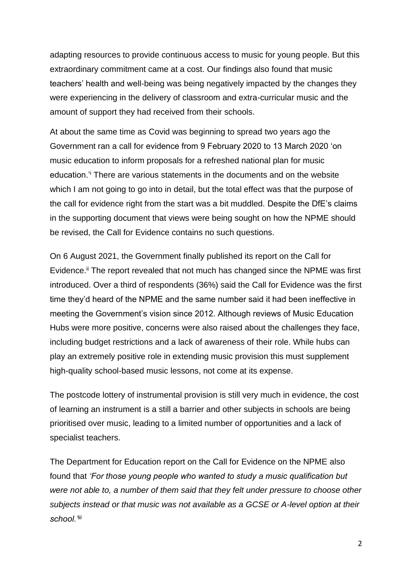adapting resources to provide continuous access to music for young people. But this extraordinary commitment came at a cost. Our findings also found that music teachers' health and well-being was being negatively impacted by the changes they were experiencing in the delivery of classroom and extra-curricular music and the amount of support they had received from their schools.

At about the same time as Covid was beginning to spread two years ago the Government ran a call for evidence from 9 February 2020 to 13 March 2020 'on music education to inform proposals for a refreshed national plan for music education.'<sup>i</sup> There are various statements in the documents and on the website which I am not going to go into in detail, but the total effect was that the purpose of the call for evidence right from the start was a bit muddled. Despite the DfE's claims in the supporting document that views were being sought on how the NPME should be revised, the Call for Evidence contains no such questions.

On 6 August 2021, the Government finally published its report on the Call for Evidence.<sup>ii</sup> The report revealed that not much has changed since the NPME was first introduced. Over a third of respondents (36%) said the Call for Evidence was the first time they'd heard of the NPME and the same number said it had been ineffective in meeting the Government's vision since 2012. Although reviews of Music Education Hubs were more positive, concerns were also raised about the challenges they face, including budget restrictions and a lack of awareness of their role. While hubs can play an extremely positive role in extending music provision this must supplement high-quality school-based music lessons, not come at its expense.

The postcode lottery of instrumental provision is still very much in evidence, the cost of learning an instrument is a still a barrier and other subjects in schools are being prioritised over music, leading to a limited number of opportunities and a lack of specialist teachers.

The Department for Education report on the Call for Evidence on the NPME also found that *'For those young people who wanted to study a music qualification but were not able to, a number of them said that they felt under pressure to choose other subjects instead or that music was not available as a GCSE or A-level option at their school.'iii*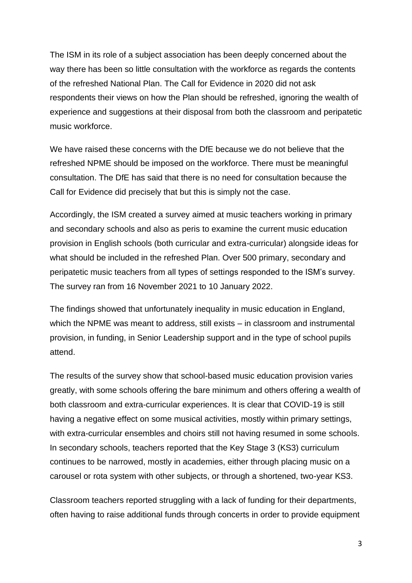The ISM in its role of a subject association has been deeply concerned about the way there has been so little consultation with the workforce as regards the contents of the refreshed National Plan. The Call for Evidence in 2020 did not ask respondents their views on how the Plan should be refreshed, ignoring the wealth of experience and suggestions at their disposal from both the classroom and peripatetic music workforce.

We have raised these concerns with the DfE because we do not believe that the refreshed NPME should be imposed on the workforce. There must be meaningful consultation. The DfE has said that there is no need for consultation because the Call for Evidence did precisely that but this is simply not the case.

Accordingly, the ISM created a survey aimed at music teachers working in primary and secondary schools and also as peris to examine the current music education provision in English schools (both curricular and extra-curricular) alongside ideas for what should be included in the refreshed Plan. Over 500 primary, secondary and peripatetic music teachers from all types of settings responded to the ISM's survey. The survey ran from 16 November 2021 to 10 January 2022.

The findings showed that unfortunately inequality in music education in England, which the NPME was meant to address, still exists – in classroom and instrumental provision, in funding, in Senior Leadership support and in the type of school pupils attend.

The results of the survey show that school-based music education provision varies greatly, with some schools offering the bare minimum and others offering a wealth of both classroom and extra-curricular experiences. It is clear that COVID-19 is still having a negative effect on some musical activities, mostly within primary settings, with extra-curricular ensembles and choirs still not having resumed in some schools. In secondary schools, teachers reported that the Key Stage 3 (KS3) curriculum continues to be narrowed, mostly in academies, either through placing music on a carousel or rota system with other subjects, or through a shortened, two-year KS3.

Classroom teachers reported struggling with a lack of funding for their departments, often having to raise additional funds through concerts in order to provide equipment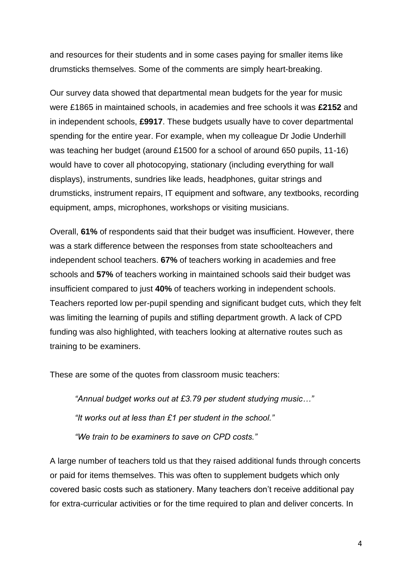and resources for their students and in some cases paying for smaller items like drumsticks themselves. Some of the comments are simply heart-breaking.

Our survey data showed that departmental mean budgets for the year for music were £1865 in maintained schools, in academies and free schools it was **£2152** and in independent schools, **£9917**. These budgets usually have to cover departmental spending for the entire year. For example, when my colleague Dr Jodie Underhill was teaching her budget (around £1500 for a school of around 650 pupils, 11-16) would have to cover all photocopying, stationary (including everything for wall displays), instruments, sundries like leads, headphones, guitar strings and drumsticks, instrument repairs, IT equipment and software, any textbooks, recording equipment, amps, microphones, workshops or visiting musicians.

Overall, **61%** of respondents said that their budget was insufficient. However, there was a stark difference between the responses from state schoolteachers and independent school teachers. **67%** of teachers working in academies and free schools and **57%** of teachers working in maintained schools said their budget was insufficient compared to just **40%** of teachers working in independent schools. Teachers reported low per-pupil spending and significant budget cuts, which they felt was limiting the learning of pupils and stifling department growth. A lack of CPD funding was also highlighted, with teachers looking at alternative routes such as training to be examiners.

These are some of the quotes from classroom music teachers:

*"Annual budget works out at £3.79 per student studying music…" "It works out at less than £1 per student in the school." "We train to be examiners to save on CPD costs."*

A large number of teachers told us that they raised additional funds through concerts or paid for items themselves. This was often to supplement budgets which only covered basic costs such as stationery. Many teachers don't receive additional pay for extra-curricular activities or for the time required to plan and deliver concerts. In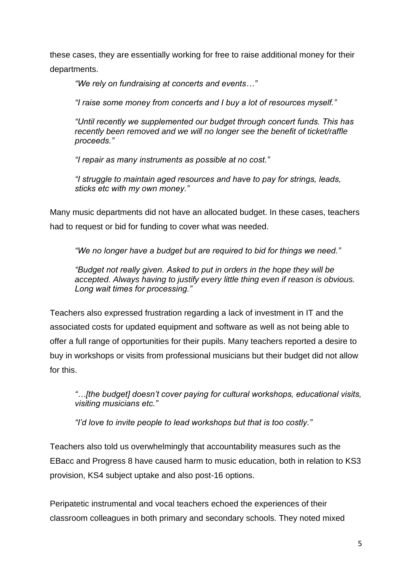these cases, they are essentially working for free to raise additional money for their departments.

*"We rely on fundraising at concerts and events…"*

*"I raise some money from concerts and I buy a lot of resources myself."*

*"Until recently we supplemented our budget through concert funds. This has recently been removed and we will no longer see the benefit of ticket/raffle proceeds."*

*"I repair as many instruments as possible at no cost."*

*"I struggle to maintain aged resources and have to pay for strings, leads, sticks etc with my own money."*

Many music departments did not have an allocated budget. In these cases, teachers had to request or bid for funding to cover what was needed.

*"We no longer have a budget but are required to bid for things we need."*

*"Budget not really given. Asked to put in orders in the hope they will be accepted. Always having to justify every little thing even if reason is obvious. Long wait times for processing."*

Teachers also expressed frustration regarding a lack of investment in IT and the associated costs for updated equipment and software as well as not being able to offer a full range of opportunities for their pupils. Many teachers reported a desire to buy in workshops or visits from professional musicians but their budget did not allow for this.

*"…[the budget] doesn't cover paying for cultural workshops, educational visits, visiting musicians etc."*

*"I'd love to invite people to lead workshops but that is too costly."*

Teachers also told us overwhelmingly that accountability measures such as the EBacc and Progress 8 have caused harm to music education, both in relation to KS3 provision, KS4 subject uptake and also post-16 options.

Peripatetic instrumental and vocal teachers echoed the experiences of their classroom colleagues in both primary and secondary schools. They noted mixed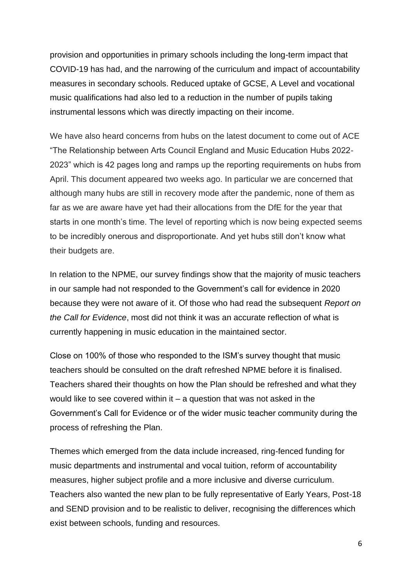provision and opportunities in primary schools including the long-term impact that COVID-19 has had, and the narrowing of the curriculum and impact of accountability measures in secondary schools. Reduced uptake of GCSE, A Level and vocational music qualifications had also led to a reduction in the number of pupils taking instrumental lessons which was directly impacting on their income.

We have also heard concerns from hubs on the latest document to come out of ACE "The Relationship between Arts Council England and Music Education Hubs 2022- 2023" which is 42 pages long and ramps up the reporting requirements on hubs from April. This document appeared two weeks ago. In particular we are concerned that although many hubs are still in recovery mode after the pandemic, none of them as far as we are aware have yet had their allocations from the DfE for the year that starts in one month's time. The level of reporting which is now being expected seems to be incredibly onerous and disproportionate. And yet hubs still don't know what their budgets are.

In relation to the NPME, our survey findings show that the majority of music teachers in our sample had not responded to the Government's call for evidence in 2020 because they were not aware of it. Of those who had read the subsequent *Report on the Call for Evidence*, most did not think it was an accurate reflection of what is currently happening in music education in the maintained sector.

Close on 100% of those who responded to the ISM's survey thought that music teachers should be consulted on the draft refreshed NPME before it is finalised. Teachers shared their thoughts on how the Plan should be refreshed and what they would like to see covered within it – a question that was not asked in the Government's Call for Evidence or of the wider music teacher community during the process of refreshing the Plan.

Themes which emerged from the data include increased, ring-fenced funding for music departments and instrumental and vocal tuition, reform of accountability measures, higher subject profile and a more inclusive and diverse curriculum. Teachers also wanted the new plan to be fully representative of Early Years, Post-18 and SEND provision and to be realistic to deliver, recognising the differences which exist between schools, funding and resources.